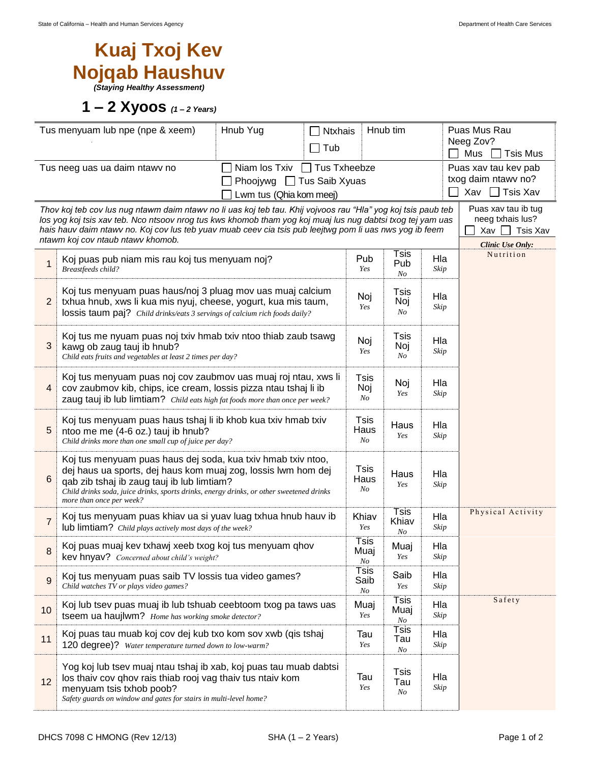## **Kuaj Txoj Kev Nojqab Haushuv**

*(Staying Healthy Assessment)*

**1 – 2 Xyoos** *(1 – 2 Years)*

| Tus menyuam lub npe (npe & xeem)<br>Hnub Yug                                                                                                                                                                                                                                                                                                                                                                   |                                                                                                                                                                                                                                                                                                     |  | Hnub tim<br><b>Ntxhais</b> |             |                                             | Puas Mus Rau<br>Neeg Zov?                                                      |                        |  |
|----------------------------------------------------------------------------------------------------------------------------------------------------------------------------------------------------------------------------------------------------------------------------------------------------------------------------------------------------------------------------------------------------------------|-----------------------------------------------------------------------------------------------------------------------------------------------------------------------------------------------------------------------------------------------------------------------------------------------------|--|----------------------------|-------------|---------------------------------------------|--------------------------------------------------------------------------------|------------------------|--|
|                                                                                                                                                                                                                                                                                                                                                                                                                |                                                                                                                                                                                                                                                                                                     |  | Tub                        |             |                                             |                                                                                | Mus<br><b>Tsis Mus</b> |  |
| Niam los Txiv □ Tus Txheebze<br>Tus neeg uas ua daim ntawy no                                                                                                                                                                                                                                                                                                                                                  |                                                                                                                                                                                                                                                                                                     |  |                            |             | Puas xav tau kev pab<br>txog daim ntawy no? |                                                                                |                        |  |
| $\Box$ Tus Saib Xyuas<br>Phoojywg<br>Lwm tus (Qhia kom meej)                                                                                                                                                                                                                                                                                                                                                   |                                                                                                                                                                                                                                                                                                     |  |                            |             |                                             |                                                                                | Xav □ Tsis Xav         |  |
| Thov koj teb cov lus nug ntawm daim ntawv no li uas koj teb tau. Khij vojvoos rau "Hla" yog koj tsis paub teb<br>los yog koj tsis xav teb. Nco ntsoov nrog tus kws khomob tham yog koj muaj lus nug dabtsi txog tej yam uas<br>hais hauv daim ntawv no. Koj cov lus teb yuav muab ceev cia tsis pub leejtwg pom li uas nws yog ib feem<br>Xav<br>$\overline{\phantom{0}}$<br>ntawm koj cov ntaub ntawv khomob. |                                                                                                                                                                                                                                                                                                     |  |                            |             |                                             | Puas xav tau ib tug<br>neeg txhais lus?<br>Tsis Xav<br><b>Clinic Use Only:</b> |                        |  |
| $\mathbf{1}$                                                                                                                                                                                                                                                                                                                                                                                                   | Koj puas pub niam mis rau koj tus menyuam noj?<br><b>Breastfeeds child?</b>                                                                                                                                                                                                                         |  |                            |             | Tsis<br>Pub<br>No                           | Hla<br>Skip                                                                    | Nutrition              |  |
| 2                                                                                                                                                                                                                                                                                                                                                                                                              | Koj tus menyuam puas haus/noj 3 pluag mov uas muaj calcium<br>txhua hnub, xws li kua mis nyuj, cheese, yogurt, kua mis taum,<br>lossis taum paj? Child drinks/eats 3 servings of calcium rich foods daily?                                                                                          |  |                            | Noj<br>Yes  | Tsis<br>Noj<br>No                           | Hla<br>Skip                                                                    |                        |  |
| 3                                                                                                                                                                                                                                                                                                                                                                                                              | Koj tus me nyuam puas noj txiv hmab txiv ntoo thiab zaub tsawg<br>kawg ob zaug tauj ib hnub?<br>Child eats fruits and vegetables at least 2 times per day?                                                                                                                                          |  |                            |             | Tsis<br>Noj<br>No                           | Hla<br>Skip                                                                    |                        |  |
| 4                                                                                                                                                                                                                                                                                                                                                                                                              | Koj tus menyuam puas noj cov zaubmov uas muaj roj ntau, xws li<br>cov zaubmov kib, chips, ice cream, lossis pizza ntau tshaj li ib<br>zaug tauj ib lub limtiam? Child eats high fat foods more than once per week?                                                                                  |  |                            |             | Noj<br>Yes                                  | Hla<br>Skip                                                                    |                        |  |
| 5                                                                                                                                                                                                                                                                                                                                                                                                              | Koj tus menyuam puas haus tshaj li ib khob kua txiv hmab txiv<br>ntoo me me (4-6 oz.) tauj ib hnub?<br>Child drinks more than one small cup of juice per day?                                                                                                                                       |  |                            |             | Haus<br>Yes                                 | Hla<br>Skip                                                                    |                        |  |
| 6                                                                                                                                                                                                                                                                                                                                                                                                              | Koj tus menyuam puas haus dej soda, kua txiv hmab txiv ntoo,<br>dej haus ua sports, dej haus kom muaj zog, lossis lwm hom dej<br>qab zib tshaj ib zaug tauj ib lub limtiam?<br>Child drinks soda, juice drinks, sports drinks, energy drinks, or other sweetened drinks<br>more than once per week? |  |                            |             | Haus<br>Yes                                 | Hla<br>Skip                                                                    |                        |  |
| $\overline{7}$                                                                                                                                                                                                                                                                                                                                                                                                 | Koj tus menyuam puas khiav ua si yuav luag txhua hnub hauv ib<br>lub limtiam? Child plays actively most days of the week?                                                                                                                                                                           |  |                            |             | <b>Tsis</b><br>Khiav<br>N <sub>O</sub>      | Hla<br>Skip                                                                    | Physical Activity      |  |
| 8                                                                                                                                                                                                                                                                                                                                                                                                              | Koj puas muaj kev txhawj xeeb txog koj tus menyuam qhov<br>kev hnyav? Concerned about child's weight?                                                                                                                                                                                               |  |                            |             | Muaj<br>Yes                                 | Hla<br>Skip                                                                    |                        |  |
| 9                                                                                                                                                                                                                                                                                                                                                                                                              | Koj tus menyuam puas saib TV lossis tua video games?<br>Child watches TV or plays video games?                                                                                                                                                                                                      |  | Tsis<br>Saib<br>No         | Saib<br>Yes | Hla<br>Skip                                 |                                                                                |                        |  |
| 10                                                                                                                                                                                                                                                                                                                                                                                                             | Koj lub tsev puas muaj ib lub tshuab ceebtoom txog pa taws uas<br>tseem ua haujlwm? Home has working smoke detector?                                                                                                                                                                                |  |                            | Muaj<br>Yes | Tsis<br>Muaj<br>No                          | Hla<br>Skip                                                                    | Safety                 |  |
| 11                                                                                                                                                                                                                                                                                                                                                                                                             | Koj puas tau muab koj cov dej kub txo kom sov xwb (qis tshaj<br>120 degree)? Water temperature turned down to low-warm?                                                                                                                                                                             |  |                            | Tau<br>Yes  | Tsis<br>Tau<br>No                           | Hla<br>Skip                                                                    |                        |  |
| 12                                                                                                                                                                                                                                                                                                                                                                                                             | Yog koj lub tsev muaj ntau tshaj ib xab, koj puas tau muab dabtsi<br>los thaiv cov qhov rais thiab rooj vag thaiv tus ntaiv kom<br>menyuam tsis txhob poob?<br>Safety guards on window and gates for stairs in multi-level home?                                                                    |  |                            | Tau<br>Yes  | <b>Tsis</b><br>Tau<br>No                    | Hla<br>Skip                                                                    |                        |  |